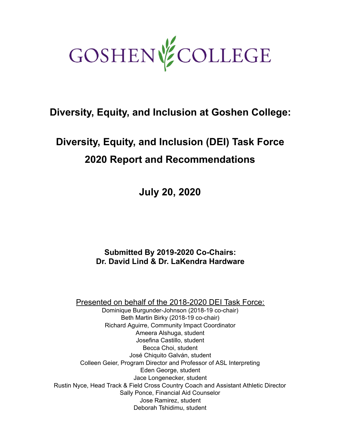

## **Diversity, Equity, and Inclusion at Goshen College:**

# **Diversity, Equity, and Inclusion (DEI) Task Force 2020 Report and Recommendations**

**July 20, 2020** 

**Submitted By 2019-2020 Co-Chairs: Dr. David Lind & Dr. LaKendra Hardware**

Presented on behalf of the 2018-2020 DEI Task Force:

Dominique Burgunder-Johnson (2018-19 co-chair) Beth Martin Birky (2018-19 co-chair) Richard Aguirre, Community Impact Coordinator Ameera Alshuga, student Josefina Castillo, student Becca Choi, student José Chiquito Galván, student Colleen Geier, Program Director and Professor of ASL Interpreting Eden George, student Jace Longenecker, student Rustin Nyce, Head Track & Field Cross Country Coach and Assistant Athletic Director Sally Ponce, Financial Aid Counselor Jose Ramirez, student Deborah Tshidimu, student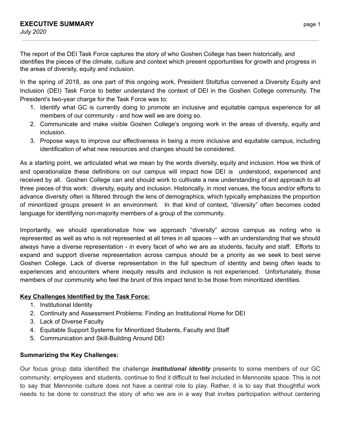The report of the DEI Task Force captures the story of who Goshen College has been historically, and identifies the pieces of the climate, culture and context which present opportunities for growth and progress in the areas of diversity, equity and inclusion.

In the spring of 2018, as one part of this ongoing work, President Stoltzfus convened a Diversity Equity and Inclusion (DEI) Task Force to better understand the context of DEI in the Goshen College community. The President's two-year charge for the Task Force was to:

- 1. Identify what GC is currently doing to promote an inclusive and equitable campus experience for all members of our community - and how well we are doing so.
- 2. Communicate and make visible Goshen College's ongoing work in the areas of diversity, equity and inclusion.
- 3. Propose ways to improve our effectiveness in being a more inclusive and equitable campus, including identification of what new resources and changes should be considered.

As a starting point, we articulated what we mean by the words diversity, equity and inclusion. How we think of and operationalize these definitions on our campus will impact how DEI is understood, experienced and received by all. Goshen College can and should work to cultivate a new understanding of and approach to all three pieces of this work: diversity, equity and inclusion. Historically, in most venues, the focus and/or efforts to advance diversity often is filtered through the lens of demographics, which typically emphasizes the proportion of minoritized groups present in an environment. In that kind of context, "diversity" often becomes coded language for identifying non-majority members of a group of the community.

Importantly, we should operationalize how we approach "diversity" across campus as noting who is represented as well as who is not represented at all times in all spaces -- with an understanding that we should always have a diverse representation - in every facet of who we are as students, faculty and staff. Efforts to expand and support diverse representation across campus should be a priority as we seek to best serve Goshen College. Lack of diverse representation in the full spectrum of identity and being often leads to experiences and encounters where inequity results and inclusion is not experienced. Unfortunately, those members of our community who feel the brunt of this impact tend to be those from minoritized identities.

#### **Key Challenges Identified by the Task Force:**

- 1. Institutional Identity
- 2. Continuity and Assessment Problems: Finding an Institutional Home for DEI
- 3. Lack of Diverse Faculty
- 4. Equitable Support Systems for Minoritized Students, Faculty and Staff
- 5. Communication and Skill-Building Around DEI

#### **Summarizing the Key Challenges:**

Our focus group data identified the challenge *institutional identity* presents to some members of our GC community: employees and students, continue to find it difficult to feel included in Mennonite space. This is not to say that Mennonite culture does not have a central role to play. Rather, it is to say that thoughtful work needs to be done to construct the story of who we are in a way that invites participation without centering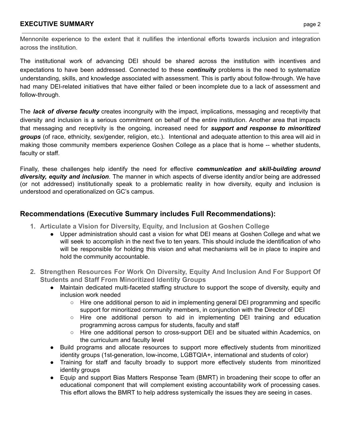#### **EXECUTIVE SUMMARY** page 2

Mennonite experience to the extent that it nullifies the intentional efforts towards inclusion and integration across the institution.

The institutional work of advancing DEI should be shared across the institution with incentives and expectations to have been addressed. Connected to these *continuity* problems is the need to systematize understanding, skills, and knowledge associated with assessment. This is partly about follow-through. We have had many DEI-related initiatives that have either failed or been incomplete due to a lack of assessment and follow-through.

The *lack of diverse faculty* creates incongruity with the impact, implications, messaging and receptivity that diversity and inclusion is a serious commitment on behalf of the entire institution. Another area that impacts that messaging and receptivity is the ongoing, increased need for *support and response to minoritized groups* (of race, ethnicity, sex/gender, religion, etc.). Intentional and adequate attention to this area will aid in making those community members experience Goshen College as a place that is home -- whether students, faculty or staff.

Finally, these challenges help identify the need for effective *communication and skill-building around diversity, equity and inclusion*. The manner in which aspects of diverse identity and/or being are addressed (or not addressed) institutionally speak to a problematic reality in how diversity, equity and inclusion is understood and operationalized on GC's campus.

## **Recommendations (Executive Summary includes Full Recommendations):**

- **1. Articulate a Vision for Diversity, Equity, and Inclusion at Goshen College** 
	- Upper administration should cast a vision for what DEI means at Goshen College and what we will seek to accomplish in the next five to ten years. This should include the identification of who will be responsible for holding this vision and what mechanisms will be in place to inspire and hold the community accountable.
- **2. Strengthen Resources For Work On Diversity, Equity And Inclusion And For Support Of Students and Staff From Minoritized Identity Groups** 
	- Maintain dedicated multi-faceted staffing structure to support the scope of diversity, equity and inclusion work needed
		- Hire one additional person to aid in implementing general DEI programming and specific support for minoritized community members, in conjunction with the Director of DEI
		- Hire one additional person to aid in implementing DEI training and education programming across campus for students, faculty and staff
		- Hire one additional person to cross-support DEI and be situated within Academics, on the curriculum and faculty level
	- Build programs and allocate resources to support more effectively students from minoritized identity groups (1st-generation, low-income, LGBTQIA+, international and students of color)
	- Training for staff and faculty broadly to support more effectively students from minoritized identity groups
	- Equip and support Bias Matters Response Team (BMRT) in broadening their scope to offer an educational component that will complement existing accountability work of processing cases. This effort allows the BMRT to help address systemically the issues they are seeing in cases.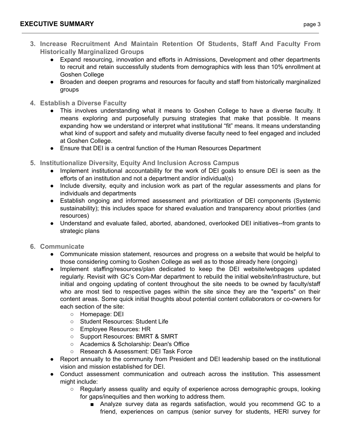- **3. Increase Recruitment And Maintain Retention Of Students, Staff And Faculty From Historically Marginalized Groups** 
	- Expand resourcing, innovation and efforts in Admissions, Development and other departments to recruit and retain successfully students from demographics with less than 10% enrollment at Goshen College
	- Broaden and deepen programs and resources for faculty and staff from historically marginalized groups
- **4. Establish a Diverse Faculty** 
	- This involves understanding what it means to Goshen College to have a diverse faculty. It means exploring and purposefully pursuing strategies that make that possible. It means expanding how we understand or interpret what institutional "fit" means. It means understanding what kind of support and safety and mutuality diverse faculty need to feel engaged and included at Goshen College.
	- Ensure that DEI is a central function of the Human Resources Department
- **5. Institutionalize Diversity, Equity And Inclusion Across Campus** 
	- Implement institutional accountability for the work of DEI goals to ensure DEI is seen as the efforts of an institution and not a department and/or individual(s)
	- Include diversity, equity and inclusion work as part of the regular assessments and plans for individuals and departments
	- Establish ongoing and informed assessment and prioritization of DEI components (Systemic sustainability); this includes space for shared evaluation and transparency about priorities (and resources)
	- Understand and evaluate failed, aborted, abandoned, overlooked DEI initiatives--from grants to strategic plans
- **6. Communicate** 
	- Communicate mission statement, resources and progress on a website that would be helpful to those considering coming to Goshen College as well as to those already here (ongoing)
	- Implement staffing/resources/plan dedicated to keep the DEI website/webpages updated regularly. Revisit with GC's Com-Mar department to rebuild the initial website/infrastructure, but initial and ongoing updating of content throughout the site needs to be owned by faculty/staff who are most tied to respective pages within the site since they are the "experts" on their content areas. Some quick initial thoughts about potential content collaborators or co-owners for each section of the site:
		- Homepage: DEI
		- Student Resources: Student Life
		- Employee Resources: HR
		- Support Resources: BMRT & SMRT
		- Academics & Scholarship: Dean's Office
		- Research & Assessment: DEI Task Force
	- Report annually to the community from President and DEI leadership based on the institutional vision and mission established for DEI.
	- Conduct assessment communication and outreach across the institution. This assessment might include:
		- Regularly assess quality and equity of experience across demographic groups, looking for gaps/inequities and then working to address them.
			- Analyze survey data as regards satisfaction, would you recommend GC to a friend, experiences on campus (senior survey for students, HERI survey for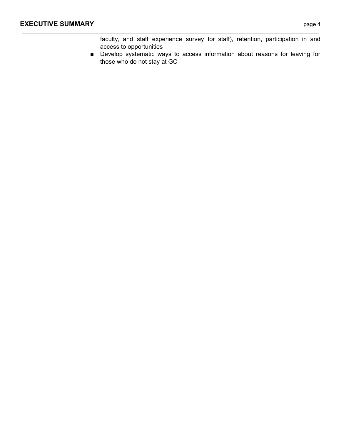faculty, and staff experience survey for staff), retention, participation in and access to opportunities

■ Develop systematic ways to access information about reasons for leaving for those who do not stay at GC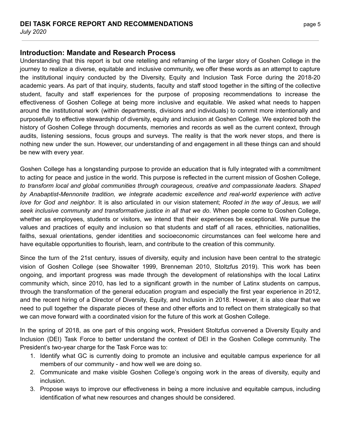#### **Introduction: Mandate and Research Process**

Understanding that this report is but one retelling and reframing of the larger story of Goshen College in the journey to realize a diverse, equitable and inclusive community, we offer these words as an attempt to capture the institutional inquiry conducted by the Diversity, Equity and Inclusion Task Force during the 2018-20 academic years. As part of that inquiry, students, faculty and staff stood together in the sifting of the collective student, faculty and staff experiences for the purpose of proposing recommendations to increase the effectiveness of Goshen College at being more inclusive and equitable. We asked what needs to happen around the institutional work (within departments, divisions and individuals) to commit more intentionally and purposefully to effective stewardship of diversity, equity and inclusion at Goshen College. We explored both the history of Goshen College through documents, memories and records as well as the current context, through audits, listening sessions, focus groups and surveys. The reality is that the work never stops, and there is nothing new under the sun. However, our understanding of and engagement in all these things can and should be new with every year.

Goshen College has a longstanding purpose to provide an education that is fully integrated with a commitment to acting for peace and justice in the world. This purpose is reflected in the current mission of Goshen College, *to transform local and global communities through courageous, creative and compassionate leaders. Shaped by Anabaptist-Mennonite tradition, we integrate academic excellence and real-world experience with active love for God and neighbor*. It is also articulated in our vision statement; *Rooted in the way of Jesus, we will seek inclusive community and transformative justice in all that we do*. When people come to Goshen College, whether as employees, students or visitors, we intend that their experiences be exceptional. We pursue the values and practices of equity and inclusion so that students and staff of all races, ethnicities, nationalities, faiths, sexual orientations, gender identities and socioeconomic circumstances can feel welcome here and have equitable opportunities to flourish, learn, and contribute to the creation of this community.

Since the turn of the 21st century, issues of diversity, equity and inclusion have been central to the strategic vision of Goshen College (see Showalter 1999, Brenneman 2010, Stoltzfus 2019). This work has been ongoing, and important progress was made through the development of relationships with the local Latinx community which, since 2010, has led to a significant growth in the number of Latinx students on campus, through the transformation of the general education program and especially the first year experience in 2012, and the recent hiring of a Director of Diversity, Equity, and Inclusion in 2018. However, it is also clear that we need to pull together the disparate pieces of these and other efforts and to reflect on them strategically so that we can move forward with a coordinated vision for the future of this work at Goshen College.

In the spring of 2018, as one part of this ongoing work, President Stoltzfus convened a Diversity Equity and Inclusion (DEI) Task Force to better understand the context of DEI in the Goshen College community. The President's two-year charge for the Task Force was to:

- 1. Identify what GC is currently doing to promote an inclusive and equitable campus experience for all members of our community - and how well we are doing so.
- 2. Communicate and make visible Goshen College's ongoing work in the areas of diversity, equity and inclusion.
- 3. Propose ways to improve our effectiveness in being a more inclusive and equitable campus, including identification of what new resources and changes should be considered.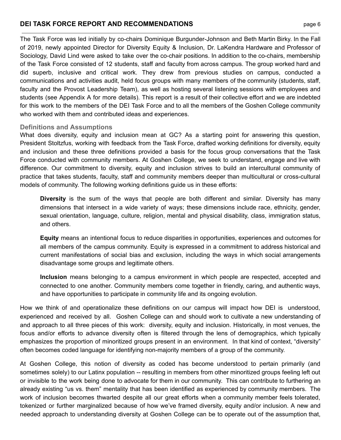The Task Force was led initially by co-chairs Dominique Burgunder-Johnson and Beth Martin Birky. In the Fall of 2019, newly appointed Director for Diversity Equity & Inclusion, Dr. LaKendra Hardware and Professor of Sociology, David Lind were asked to take over the co-chair positions. In addition to the co-chairs, membership of the Task Force consisted of 12 students, staff and faculty from across campus. The group worked hard and did superb, inclusive and critical work. They drew from previous studies on campus, conducted a communications and activities audit, held focus groups with many members of the community (students, staff, faculty and the Provost Leadership Team), as well as hosting several listening sessions with employees and students (see Appendix A for more details). This report is a result of their collective effort and we are indebted for this work to the members of the DEI Task Force and to all the members of the Goshen College community who worked with them and contributed ideas and experiences.

#### **Definitions and Assumptions**

What does diversity, equity and inclusion mean at GC? As a starting point for answering this question, President Stoltzfus, working with feedback from the Task Force, drafted working definitions for diversity, equity and inclusion and these three definitions provided a basis for the focus group conversations that the Task Force conducted with community members. At Goshen College, we seek to understand, engage and live with difference. Our commitment to diversity, equity and inclusion strives to build an intercultural community of practice that takes students, faculty, staff and community members deeper than multicultural or cross-cultural models of community. The following working definitions guide us in these efforts:

**Diversity** is the sum of the ways that people are both different and similar. Diversity has many dimensions that intersect in a wide variety of ways; these dimensions include race, ethnicity, gender, sexual orientation, language, culture, religion, mental and physical disability, class, immigration status, and others.

**Equity** means an intentional focus to reduce disparities in opportunities, experiences and outcomes for all members of the campus community. Equity is expressed in a commitment to address historical and current manifestations of social bias and exclusion, including the ways in which social arrangements disadvantage some groups and legitimate others.

**Inclusion** means belonging to a campus environment in which people are respected, accepted and connected to one another. Community members come together in friendly, caring, and authentic ways, and have opportunities to participate in community life and its ongoing evolution.

How we think of and operationalize these definitions on our campus will impact how DEI is understood, experienced and received by all. Goshen College can and should work to cultivate a new understanding of and approach to all three pieces of this work: diversity, equity and inclusion. Historically, in most venues, the focus and/or efforts to advance diversity often is filtered through the lens of demographics, which typically emphasizes the proportion of minoritized groups present in an environment. In that kind of context, "diversity" often becomes coded language for identifying non-majority members of a group of the community.

At Goshen College, this notion of diversity as coded has become understood to pertain primarily (and sometimes solely) to our Latinx population -- resulting in members from other minoritized groups feeling left out or invisible to the work being done to advocate for them in our community. This can contribute to furthering an already existing "us vs. them" mentality that has been identified as experienced by community members. The work of inclusion becomes thwarted despite all our great efforts when a community member feels tolerated, tokenized or further marginalized because of how we've framed diversity, equity and/or inclusion. A new and needed approach to understanding diversity at Goshen College can be to operate out of the assumption that,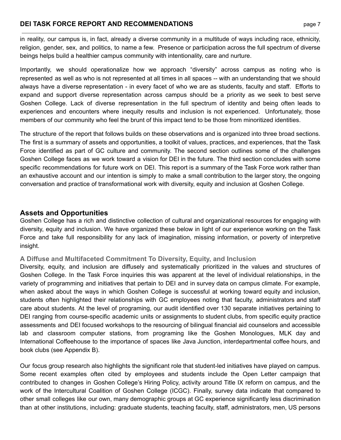in reality, our campus is, in fact, already a diverse community in a multitude of ways including race, ethnicity, religion, gender, sex, and politics, to name a few. Presence or participation across the full spectrum of diverse beings helps build a healthier campus community with intentionality, care and nurture.

Importantly, we should operationalize how we approach "diversity" across campus as noting who is represented as well as who is not represented at all times in all spaces -- with an understanding that we should always have a diverse representation - in every facet of who we are as students, faculty and staff. Efforts to expand and support diverse representation across campus should be a priority as we seek to best serve Goshen College. Lack of diverse representation in the full spectrum of identity and being often leads to experiences and encounters where inequity results and inclusion is not experienced. Unfortunately, those members of our community who feel the brunt of this impact tend to be those from minoritized identities.

The structure of the report that follows builds on these observations and is organized into three broad sections. The first is a summary of assets and opportunities, a toolkit of values, practices, and experiences, that the Task Force identified as part of GC culture and community. The second section outlines some of the challenges Goshen College faces as we work toward a vision for DEI in the future. The third section concludes with some specific recommendations for future work on DEI. This report is a summary of the Task Force work rather than an exhaustive account and our intention is simply to make a small contribution to the larger story, the ongoing conversation and practice of transformational work with diversity, equity and inclusion at Goshen College.

## **Assets and Opportunities**

Goshen College has a rich and distinctive collection of cultural and organizational resources for engaging with diversity, equity and inclusion. We have organized these below in light of our experience working on the Task Force and take full responsibility for any lack of imagination, missing information, or poverty of interpretive insight.

#### **A Diffuse and Multifaceted Commitment To Diversity, Equity, and Inclusion**

Diversity, equity, and inclusion are diffusely and systematically prioritized in the values and structures of Goshen College. In the Task Force inquiries this was apparent at the level of individual relationships, in the variety of programming and initiatives that pertain to DEI and in survey data on campus climate. For example, when asked about the ways in which Goshen College is successful at working toward equity and inclusion, students often highlighted their relationships with GC employees noting that faculty, administrators and staff care about students. At the level of programing, our audit identified over 130 separate initiatives pertaining to DEI ranging from course-specific academic units or assignments to student clubs, from specific equity practice assessments and DEI focused workshops to the resourcing of bilingual financial aid counselors and accessible lab and classroom computer stations, from programing like the Goshen Monologues, MLK day and International Coffeehouse to the importance of spaces like Java Junction, interdepartmental coffee hours, and book clubs (see Appendix B).

Our focus group research also highlights the significant role that student-led initiatives have played on campus. Some recent examples often cited by employees and students include the Open Letter campaign that contributed to changes in Goshen College's Hiring Policy, activity around Title IX reform on campus, and the work of the Intercultural Coalition of Goshen College (ICGC). Finally, survey data indicate that compared to other small colleges like our own, many demographic groups at GC experience significantly less discrimination than at other institutions, including: graduate students, teaching faculty, staff, administrators, men, US persons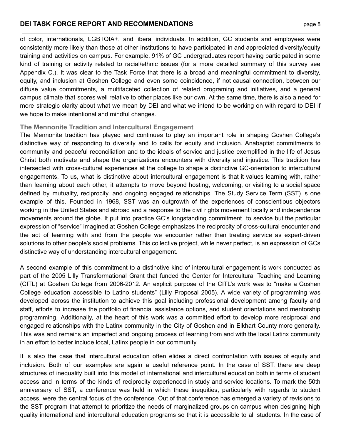of color, internationals, LGBTQIA+, and liberal individuals. In addition, GC students and employees were consistently more likely than those at other institutions to have participated in and appreciated diversity/equity training and activities on campus. For example, 91% of GC undergraduates report having participated in some kind of training or activity related to racial/ethnic issues (for a more detailed summary of this survey see Appendix C.). It was clear to the Task Force that there is a broad and meaningful commitment to diversity, equity, and inclusion at Goshen College and even some coincidence, if not causal connection, between our diffuse value commitments, a multifaceted collection of related programing and initiatives, and a general campus climate that scores well relative to other places like our own. At the same time, there is also a need for more strategic clarity about what we mean by DEI and what we intend to be working on with regard to DEI if we hope to make intentional and mindful changes.

#### **The Mennonite Tradition and Intercultural Engagement**

The Mennonite tradition has played and continues to play an important role in shaping Goshen College's distinctive way of responding to diversity and to calls for equity and inclusion. Anabaptist commitments to community and peaceful reconciliation and to the ideals of service and justice exemplified in the life of Jesus Christ both motivate and shape the organizations encounters with diversity and injustice. This tradition has intersected with cross-cultural experiences at the college to shape a distinctive GC-orientation to intercultural engagements. To us, what is distinctive about intercultural engagement is that it values learning with, rather than learning about each other, it attempts to move beyond hosting, welcoming, or visiting to a social space defined by mutuality, reciprocity, and ongoing engaged relationships. The Study Service Term (SST) is one example of this. Founded in 1968, SST was an outgrowth of the experiences of conscientious objectors working in the United States and abroad and a response to the civil rights movement locally and independence movements around the globe. It put into practice GC's longstanding commitment to service but the particular expression of "service" imagined at Goshen College emphasizes the reciprocity of cross-cultural encounter and the act of learning with and from the people we encounter rather than treating service as expert-driven solutions to other people's social problems. This collective project, while never perfect, is an expression of GCs distinctive way of understanding intercultural engagement.

A second example of this commitment to a distinctive kind of intercultural engagement is work conducted as part of the 2005 Lilly Transformational Grant that funded the Center for Intercultural Teaching and Learning (CITL) at Goshen College from 2006-2012. An explicit purpose of the CITL's work was to "make a Goshen College education accessible to Latino students" (Lilly Proposal 2005). A wide variety of programming was developed across the institution to achieve this goal including professional development among faculty and staff, efforts to increase the portfolio of financial assistance options, and student orientations and mentorship programming. Additionally, at the heart of this work was a committed effort to develop more reciprocal and engaged relationships with the Latinx community in the City of Goshen and in Elkhart County more generally. This was and remains an imperfect and ongoing process of learning from and with the local Latinx community in an effort to better include local, Latinx people in our community.

It is also the case that intercultural education often elides a direct confrontation with issues of equity and inclusion. Both of our examples are again a useful reference point. In the case of SST, there are deep structures of inequality built into this model of international and intercultural education both in terms of student access and in terms of the kinds of reciprocity experienced in study and service locations. To mark the 50th anniversary of SST, a conference was held in which these inequities, particularly with regards to student access, were the central focus of the conference. Out of that conference has emerged a variety of revisions to the SST program that attempt to prioritize the needs of marginalized groups on campus when designing high quality international and intercultural education programs so that it is accessible to all students. In the case of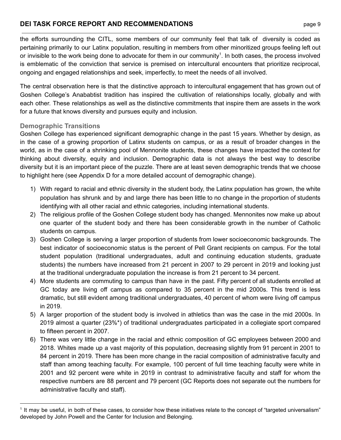the efforts surrounding the CITL, some members of our community feel that talk of diversity is coded as pertaining primarily to our Latinx population, resulting in members from other minoritized groups feeling left out or invisible to the work being done to advocate for them in our community<sup>1</sup>. In both cases, the process involved is emblematic of the conviction that service is premised on intercultural encounters that prioritize reciprocal, ongoing and engaged relationships and seek, imperfectly, to meet the needs of all involved.

The central observation here is that the distinctive approach to intercultural engagement that has grown out of Goshen College's Anababtist tradition has inspired the cultivation of relationships locally, globally and with each other. These relationships as well as the distinctive commitments that inspire them are assets in the work for a future that knows diversity and pursues equity and inclusion.

#### **Demographic Transitions**

Goshen College has experienced significant demographic change in the past 15 years. Whether by design, as in the case of a growing proportion of Latinx students on campus, or as a result of broader changes in the world, as in the case of a shrinking pool of Mennonite students, these changes have impacted the context for thinking about diversity, equity and inclusion. Demographic data is not always the best way to describe diversity but it is an important piece of the puzzle. There are at least seven demographic trends that we choose to highlight here (see Appendix D for a more detailed account of demographic change).

- 1) With regard to racial and ethnic diversity in the student body, the Latinx population has grown, the white population has shrunk and by and large there has been little to no change in the proportion of students identifying with all other racial and ethnic categories, including international students.
- 2) The religious profile of the Goshen College student body has changed. Mennonites now make up about one quarter of the student body and there has been considerable growth in the number of Catholic students on campus.
- 3) Goshen College is serving a larger proportion of students from lower socioeconomic backgrounds. The best indicator of socioeconomic status is the percent of Pell Grant recipients on campus. For the total student population (traditional undergraduates, adult and continuing education students, graduate students) the numbers have increased from 21 percent in 2007 to 29 percent in 2019 and looking just at the traditional undergraduate population the increase is from 21 percent to 34 percent.
- 4) More students are commuting to campus than have in the past. Fifty percent of all students enrolled at GC today are living off campus as compared to 35 percent in the mid 2000s. This trend is less dramatic, but still evident among traditional undergraduates, 40 percent of whom were living off campus in 2019.
- 5) A larger proportion of the student body is involved in athletics than was the case in the mid 2000s. In 2019 almost a quarter (23%\*) of traditional undergraduates participated in a collegiate sport compared to fifteen percent in 2007.
- 6) There was very little change in the racial and ethnic composition of GC employees between 2000 and 2018. Whites made up a vast majority of this population, decreasing slightly from 91 percent in 2001 to 84 percent in 2019. There has been more change in the racial composition of administrative faculty and staff than among teaching faculty. For example, 100 percent of full time teaching faculty were white in 2001 and 92 percent were white in 2019 in contrast to administrative faculty and staff for whom the respective numbers are 88 percent and 79 percent (GC Reports does not separate out the numbers for administrative faculty and staff).

<sup>1</sup> It may be useful, in both of these cases, to consider how these initiatives relate to the concept of "targeted universalism" developed by John Powell and the Center for Inclusion and Belonging.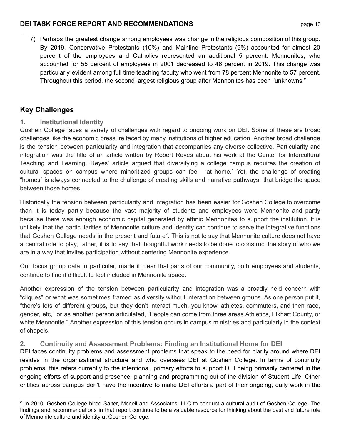7) Perhaps the greatest change among employees was change in the religious composition of this group. By 2019, Conservative Protestants (10%) and Mainline Protestants (9%) accounted for almost 20 percent of the employees and Catholics represented an additional 5 percent. Mennonites, who accounted for 55 percent of employees in 2001 decreased to 46 percent in 2019. This change was particularly evident among full time teaching faculty who went from 78 percent Mennonite to 57 percent. Throughout this period, the second largest religious group after Mennonites has been "unknowns."

## **Key Challenges**

## **1. Institutional Identity**

Goshen College faces a variety of challenges with regard to ongoing work on DEI. Some of these are broad challenges like the economic pressure faced by many institutions of higher education. Another broad challenge is the tension between particularity and integration that accompanies any diverse collective. Particularity and integration was the title of an article written by Robert Reyes about his work at the Center for Intercultural Teaching and Learning. Reyes' article argued that diversifying a college campus requires the creation of cultural spaces on campus where minoritized groups can feel "at home." Yet, the challenge of creating "homes" is always connected to the challenge of creating skills and narrative pathways that bridge the space between those homes.

Historically the tension between particularity and integration has been easier for Goshen College to overcome than it is today partly because the vast majority of students and employees were Mennonite and partly because there was enough economic capital generated by ethnic Mennonites to support the institution. It is unlikely that the particularities of Mennonite culture and identity can continue to serve the integrative functions that Goshen College needs in the present and future<sup>2</sup>. This is not to say that Mennonite culture does not have a central role to play, rather, it is to say that thoughtful work needs to be done to construct the story of who we are in a way that invites participation without centering Mennonite experience.

Our focus group data in particular, made it clear that parts of our community, both employees and students, continue to find it difficult to feel included in Mennonite space.

Another expression of the tension between particularity and integration was a broadly held concern with "cliques" or what was sometimes framed as diversity without interaction between groups. As one person put it, "there's lots of different groups, but they don't interact much, you know, athletes, commuters, and then race, gender, etc," or as another person articulated, "People can come from three areas Athletics, Elkhart County, or white Mennonite." Another expression of this tension occurs in campus ministries and particularly in the context of chapels.

## **2. Continuity and Assessment Problems: Finding an Institutional Home for DEI**

DEI faces continuity problems and assessment problems that speak to the need for clarity around where DEI resides in the organizational structure and who oversees DEI at Goshen College. In terms of continuity problems, this refers currently to the intentional, primary efforts to support DEI being primarily centered in the ongoing efforts of support and presence, planning and programming out of the division of Student Life. Other entities across campus don't have the incentive to make DEI efforts a part of their ongoing, daily work in the

 $^2$  In 2010, Goshen College hired Salter, Mcneil and Associates, LLC to conduct a cultural audit of Goshen College. The findings and recommendations in that report continue to be a valuable resource for thinking about the past and future role of Mennonite culture and identity at Goshen College.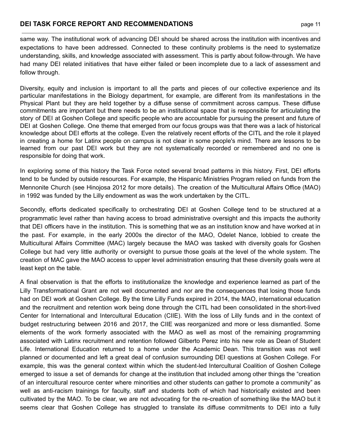same way. The institutional work of advancing DEI should be shared across the institution with incentives and expectations to have been addressed. Connected to these continuity problems is the need to systematize understanding, skills, and knowledge associated with assessment. This is partly about follow-through. We have had many DEI related initiatives that have either failed or been incomplete due to a lack of assessment and follow through.

Diversity, equity and inclusion is important to all the parts and pieces of our collective experience and its particular manifestations in the Biology department, for example, are different from its manifestations in the Physical Plant but they are held together by a diffuse sense of commitment across campus. These diffuse commitments are important but there needs to be an institutional space that is responsible for articulating the story of DEI at Goshen College and specific people who are accountable for pursuing the present and future of DEI at Goshen College. One theme that emerged from our focus groups was that there was a lack of historical knowledge about DEI efforts at the college. Even the relatively recent efforts of the CITL and the role it played in creating a home for Latinx people on campus is not clear in some people's mind. There are lessons to be learned from our past DEI work but they are not systematically recorded or remembered and no one is responsible for doing that work.

In exploring some of this history the Task Force noted several broad patterns in this history. First, DEI efforts tend to be funded by outside resources. For example, the Hispanic Ministries Program relied on funds from the Mennonite Church (see Hinojosa 2012 for more details). The creation of the Multicultural Affairs Office (MAO) in 1992 was funded by the Lilly endowment as was the work undertaken by the CITL.

Secondly, efforts dedicated specifically to orchestrating DEI at Goshen College tend to be structured at a programmatic level rather than having access to broad administrative oversight and this impacts the authority that DEI officers have in the institution. This is something that we as an institution know and have worked at in the past. For example, in the early 2000s the director of the MAO, Odelet Nance, lobbied to create the Multicultural Affairs Committee (MAC) largely because the MAO was tasked with diversity goals for Goshen College but had very little authority or oversight to pursue those goals at the level of the whole system. The creation of MAC gave the MAO access to upper level administration ensuring that these diversity goals were at least kept on the table.

A final observation is that the efforts to institutionalize the knowledge and experience learned as part of the Lilly Transformational Grant are not well documented and nor are the consequences that losing those funds had on DEI work at Goshen College. By the time Lilly Funds expired in 2014, the MAO, international education and the recruitment and retention work being done through the CITL had been consolidated in the short-lived Center for International and Intercultural Education (CIIE). With the loss of Lilly funds and in the context of budget restructuring between 2016 and 2017, the CIIE was reorganized and more or less dismantled. Some elements of the work formerly associated with the MAO as well as most of the remaining programming associated with Latinx recruitment and retention followed Gilberto Perez into his new role as Dean of Student Life. International Education returned to a home under the Academic Dean. This transition was not well planned or documented and left a great deal of confusion surrounding DEI questions at Goshen College. For example, this was the general context within which the student-led Intercultural Coalition of Goshen College emerged to issue a set of demands for change at the institution that included among other things the "creation of an intercultural resource center where minorities and other students can gather to promote a community" as well as anti-racism trainings for faculty, staff and students both of which had historically existed and been cultivated by the MAO. To be clear, we are not advocating for the re-creation of something like the MAO but it seems clear that Goshen College has struggled to translate its diffuse commitments to DEI into a fully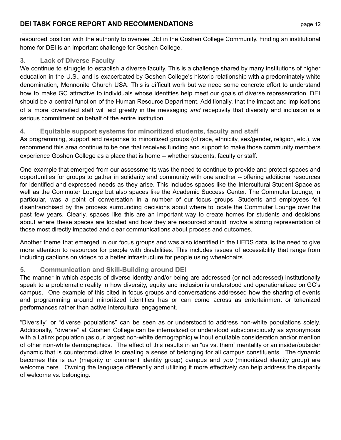resourced position with the authority to oversee DEI in the Goshen College Community. Finding an institutional home for DEI is an important challenge for Goshen College.

## **3. Lack of Diverse Faculty**

We continue to struggle to establish a diverse faculty. This is a challenge shared by many institutions of higher education in the U.S., and is exacerbated by Goshen College's historic relationship with a predominately white denomination, Mennonite Church USA. This is difficult work but we need some concrete effort to understand how to make GC attractive to individuals whose identities help meet our goals of diverse representation. DEI should be a central function of the Human Resource Department. Additionally, that the impact and implications of a more diversified staff will aid greatly in the messaging *and* receptivity that diversity and inclusion is a serious commitment on behalf of the entire institution.

## **4. Equitable support systems for minoritized students, faculty and staff**

As programming, support and response to minoritized groups (of race, ethnicity, sex/gender, religion, etc.), we recommend this area continue to be one that receives funding and support to make those community members experience Goshen College as a place that is home -- whether students, faculty or staff.

One example that emerged from our assessments was the need to continue to provide and protect spaces and opportunities for groups to gather in solidarity and community with one another -- offering additional resources for identified and expressed needs as they arise. This includes spaces like the Intercultural Student Space as well as the Commuter Lounge but also spaces like the Academic Success Center. The Commuter Lounge, in particular, was a point of conversation in a number of our focus groups. Students and employees felt disenfranchised by the process surrounding decisions about where to locate the Commuter Lounge over the past few years. Clearly, spaces like this are an important way to create homes for students and decisions about where these spaces are located and how they are resourced should involve a strong representation of those most directly impacted and clear communications about process and outcomes.

Another theme that emerged in our focus groups and was also identified in the HEDS data, is the need to give more attention to resources for people with disabilities. This includes issues of accessibility that range from including captions on videos to a better infrastructure for people using wheelchairs.

#### **5. Communication and Skill-Building around DEI**

The manner in which aspects of diverse identity and/or being are addressed (or not addressed) institutionally speak to a problematic reality in how diversity, equity and inclusion is understood and operationalized on GC's campus. One example of this cited in focus groups and conversations addressed how the sharing of events and programming around minoritized identities has or can come across as entertainment or tokenized performances rather than active intercultural engagement.

"Diversity" or "diverse populations" can be seen as or understood to address non-white populations solely. Additionally, "diverse" at Goshen College can be internalized or understood subsconsciously as synonymous with a Latinx population (as our largest non-white demographic) without equitable consideration and/or mention of other non-white demographics. The effect of this results in an "us vs. them" mentality or an insider/outsider dynamic that is counterproductive to creating a sense of belonging for all campus constituents. The dynamic becomes this is *our* (majority or dominant identity group) campus and *you* (minoritized identity group) are welcome here. Owning the language differently and utilizing it more effectively can help address the disparity of welcome vs. belonging.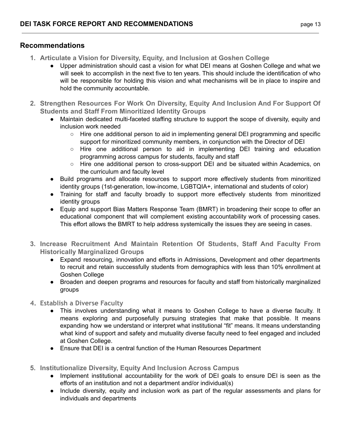## **Recommendations**

- **1. Articulate a Vision for Diversity, Equity, and Inclusion at Goshen College** 
	- Upper administration should cast a vision for what DEI means at Goshen College and what we will seek to accomplish in the next five to ten years. This should include the identification of who will be responsible for holding this vision and what mechanisms will be in place to inspire and hold the community accountable.
- **2. Strengthen Resources For Work On Diversity, Equity And Inclusion And For Support Of Students and Staff From Minoritized Identity Groups** 
	- Maintain dedicated multi-faceted staffing structure to support the scope of diversity, equity and inclusion work needed
		- Hire one additional person to aid in implementing general DEI programming and specific support for minoritized community members, in conjunction with the Director of DEI
		- $\circ$  Hire one additional person to aid in implementing DEI training and education programming across campus for students, faculty and staff
		- Hire one additional person to cross-support DEI and be situated within Academics, on the curriculum and faculty level
	- Build programs and allocate resources to support more effectively students from minoritized identity groups (1st-generation, low-income, LGBTQIA+, international and students of color)
	- Training for staff and faculty broadly to support more effectively students from minoritized identity groups
	- Equip and support Bias Matters Response Team (BMRT) in broadening their scope to offer an educational component that will complement existing accountability work of processing cases. This effort allows the BMRT to help address systemically the issues they are seeing in cases.
- **3. Increase Recruitment And Maintain Retention Of Students, Staff And Faculty From Historically Marginalized Groups** 
	- Expand resourcing, innovation and efforts in Admissions, Development and other departments to recruit and retain successfully students from demographics with less than 10% enrollment at Goshen College
	- Broaden and deepen programs and resources for faculty and staff from historically marginalized groups
- **4. Establish a Diverse Faculty** 
	- This involves understanding what it means to Goshen College to have a diverse faculty. It means exploring and purposefully pursuing strategies that make that possible. It means expanding how we understand or interpret what institutional "fit" means. It means understanding what kind of support and safety and mutuality diverse faculty need to feel engaged and included at Goshen College.
	- Ensure that DEI is a central function of the Human Resources Department
- **5. Institutionalize Diversity, Equity And Inclusion Across Campus** 
	- Implement institutional accountability for the work of DEI goals to ensure DEI is seen as the efforts of an institution and not a department and/or individual(s)
	- Include diversity, equity and inclusion work as part of the regular assessments and plans for individuals and departments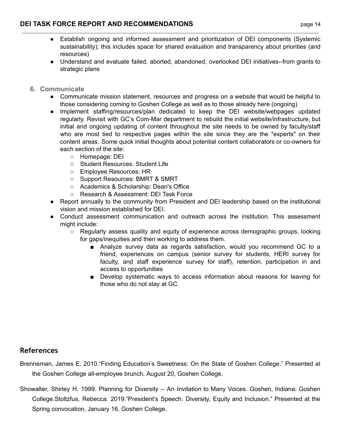- Establish ongoing and informed assessment and prioritization of DEI components (Systemic sustainability); this includes space for shared evaluation and transparency about priorities (and resources)
- Understand and evaluate failed, aborted, abandoned, overlooked DEI initiatives--from grants to strategic plans
- **6. Communicate** 
	- Communicate mission statement, resources and progress on a website that would be helpful to those considering coming to Goshen College as well as to those already here (ongoing)
	- Implement staffing/resources/plan dedicated to keep the DEI website/webpages updated regularly. Revisit with GC's Com-Mar department to rebuild the initial website/infrastructure, but initial and ongoing updating of content throughout the site needs to be owned by faculty/staff who are most tied to respective pages within the site since they are the "experts" on their content areas. Some quick initial thoughts about potential content collaborators or co-owners for each section of the site:
		- Homepage: DEI
		- Student Resources: Student Life
		- Employee Resources: HR
		- Support Resources: BMRT & SMRT
		- Academics & Scholarship: Dean's Office
		- Research & Assessment: DEI Task Force
	- Report annually to the community from President and DEI leadership based on the institutional vision and mission established for DEI.
	- Conduct assessment communication and outreach across the institution. This assessment might include:
		- Regularly assess quality and equity of experience across demographic groups, looking for gaps/inequities and then working to address them.
			- Analyze survey data as regards satisfaction, would you recommend GC to a friend, experiences on campus (senior survey for students, HERI survey for faculty, and staff experience survey for staff), retention, participation in and access to opportunities
			- Develop systematic ways to access information about reasons for leaving for those who do not stay at GC

#### **References**

Brenneman, James E. 2010."Finding Education's Sweetness: On the State of Goshen College." Presented at the Goshen College all-employee brunch, August 20, Goshen College.

Showalter, Shirley H. 1999. Planning for Diversity – An Invitation to Many Voices. Goshen, Indiana: Goshen College.Stoltzfus, Rebecca. 2019."President's Speech: Diversity, Equity and Inclusion." Presented at the Spring convocation, January 16, Goshen College.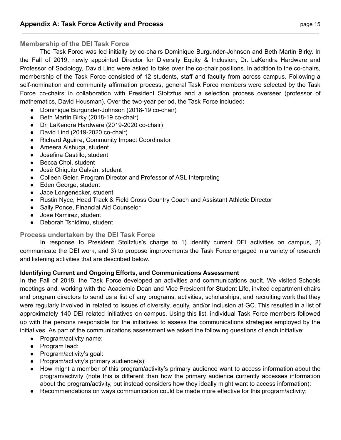#### **Membership of the DEI Task Force**

The Task Force was led initially by co-chairs Dominique Burgunder-Johnson and Beth Martin Birky. In the Fall of 2019, newly appointed Director for Diversity Equity & Inclusion, Dr. LaKendra Hardware and Professor of Sociology, David Lind were asked to take over the co-chair positions. In addition to the co-chairs, membership of the Task Force consisted of 12 students, staff and faculty from across campus. Following a self-nomination and community affirmation process, general Task Force members were selected by the Task Force co-chairs in collaboration with President Stoltzfus and a selection process overseer (professor of mathematics, David Housman). Over the two-year period, the Task Force included:

- Dominique Burgunder-Johnson (2018-19 co-chair)
- Beth Martin Birky (2018-19 co-chair)
- Dr. LaKendra Hardware (2019-2020 co-chair)
- David Lind (2019-2020 co-chair)
- Richard Aguirre, Community Impact Coordinator
- Ameera Alshuga, student
- Josefina Castillo, student
- Becca Choi, student
- José Chiquito Galván, student
- Colleen Geier, Program Director and Professor of ASL Interpreting
- Eden George, student
- Jace Longenecker, student
- Rustin Nyce, Head Track & Field Cross Country Coach and Assistant Athletic Director
- Sally Ponce, Financial Aid Counselor
- Jose Ramirez, student
- Deborah Tshidimu, student

#### **Process undertaken by the DEI Task Force**

In response to President Stoltzfus's charge to 1) identify current DEI activities on campus, 2) communicate the DEI work, and 3) to propose improvements the Task Force engaged in a variety of research and listening activities that are described below.

#### **Identifying Current and Ongoing Efforts, and Communications Assessment**

In the Fall of 2018, the Task Force developed an activities and communications audit. We visited Schools meetings and, working with the Academic Dean and Vice President for Student Life, invited department chairs and program directors to send us a list of any programs, activities, scholarships, and recruiting work that they were regularly involved in related to issues of diversity, equity, and/or inclusion at GC. This resulted in a list of approximately 140 DEI related initiatives on campus. Using this list, individual Task Force members followed up with the persons responsible for the initiatives to assess the communications strategies employed by the initiatives. As part of the communications assessment we asked the following questions of each initiative:

- Program/activity name:
- Program lead:
- Program/activity's goal:
- Program/activity's primary audience(s):
- How might a member of this program/activity's primary audience want to access information about the program/activity (note this is different than how the primary audience currently accesses information about the program/activity, but instead considers how they ideally might want to access information):
- Recommendations on ways communication could be made more effective for this program/activity: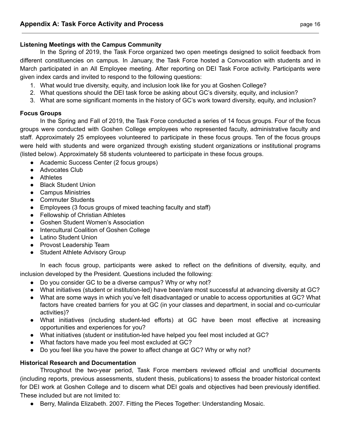#### **Listening Meetings with the Campus Community**

In the Spring of 2019, the Task Force organized two open meetings designed to solicit feedback from different constituencies on campus. In January, the Task Force hosted a Convocation with students and in March participated in an All Employee meeting. After reporting on DEI Task Force activity. Participants were given index cards and invited to respond to the following questions:

- 1. What would true diversity, equity, and inclusion look like for you at Goshen College?
- 2. What questions should the DEI task force be asking about GC's diversity, equity, and inclusion?
- 3. What are some significant moments in the history of GC's work toward diversity, equity, and inclusion?

#### **Focus Groups**

In the Spring and Fall of 2019, the Task Force conducted a series of 14 focus groups. Four of the focus groups were conducted with Goshen College employees who represented faculty, administrative faculty and staff. Approximately 25 employees volunteered to participate in these focus groups. Ten of the focus groups were held with students and were organized through existing student organizations or institutional programs (listed below). Approximately 58 students volunteered to participate in these focus groups.

- Academic Success Center (2 focus groups)
- Advocates Club
- Athletes
- Black Student Union
- Campus Ministries
- Commuter Students
- Employees (3 focus groups of mixed teaching faculty and staff)
- Fellowship of Christian Athletes
- Goshen Student Women's Association
- Intercultural Coalition of Goshen College
- Latino Student Union
- Provost Leadership Team
- Student Athlete Advisory Group

In each focus group, participants were asked to reflect on the definitions of diversity, equity, and inclusion developed by the President. Questions included the following:

- Do you consider GC to be a diverse campus? Why or why not?
- What initiatives (student or institution-led) have been/are most successful at advancing diversity at GC?
- What are some ways in which you've felt disadvantaged or unable to access opportunities at GC? What factors have created barriers for you at GC (in your classes and department, in social and co-curricular activities)?
- What initiatives (including student-led efforts) at GC have been most effective at increasing opportunities and experiences for you?
- What initiatives (student or institution-led have helped you feel most included at GC?
- What factors have made you feel most excluded at GC?
- Do you feel like you have the power to affect change at GC? Why or why not?

#### **Historical Research and Documentation**

Throughout the two-year period, Task Force members reviewed official and unofficial documents (including reports, previous assessments, student thesis, publications) to assess the broader historical context for DEI work at Goshen College and to discern what DEI goals and objectives had been previously identified. These included but are not limited to:

Berry, Malinda Elizabeth. 2007. Fitting the Pieces Together: Understanding Mosaic.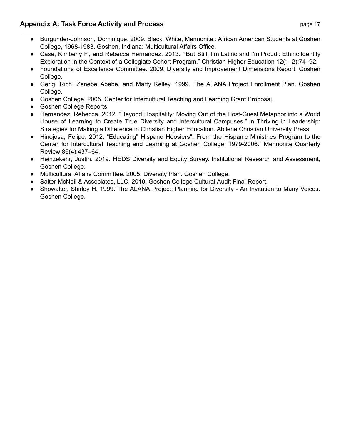#### **Appendix A: Task Force Activity and Process <b>Example 20 and Series 20 and Process** page 17

- Burgunder-Johnson, Dominique. 2009. Black, White, Mennonite : African American Students at Goshen College, 1968-1983. Goshen, Indiana: Multicultural Affairs Office.
- Case, Kimberly F., and Rebecca Hernandez. 2013. "'But Still, I'm Latino and I'm Proud': Ethnic Identity Exploration in the Context of a Collegiate Cohort Program." Christian Higher Education 12(1–2):74–92.
- Foundations of Excellence Committee. 2009. Diversity and Improvement Dimensions Report. Goshen College.
- Gerig, Rich, Zenebe Abebe, and Marty Kelley. 1999. The ALANA Project Enrollment Plan. Goshen College.
- Goshen College. 2005. Center for Intercultural Teaching and Learning Grant Proposal.
- **Goshen College Reports**
- Hernandez, Rebecca. 2012. "Beyond Hospitality: Moving Out of the Host-Guest Metaphor into a World House of Learning to Create True Diversity and Intercultural Campuses." in Thriving in Leadership: Strategies for Making a Difference in Christian Higher Education. Abilene Christian University Press.
- Hinojosa, Felipe. 2012. "Educating" Hispano Hoosiers": From the Hispanic Ministries Program to the Center for Intercultural Teaching and Learning at Goshen College, 1979-2006." Mennonite Quarterly Review 86(4):437–64.
- Heinzekehr, Justin. 2019. HEDS Diversity and Equity Survey. Institutional Research and Assessment, Goshen College.
- Multicultural Affairs Committee. 2005. Diversity Plan. Goshen College.
- Salter McNeil & Associates, LLC. 2010. Goshen College Cultural Audit Final Report.
- Showalter, Shirley H. 1999. The ALANA Project: Planning for Diversity An Invitation to Many Voices. Goshen College.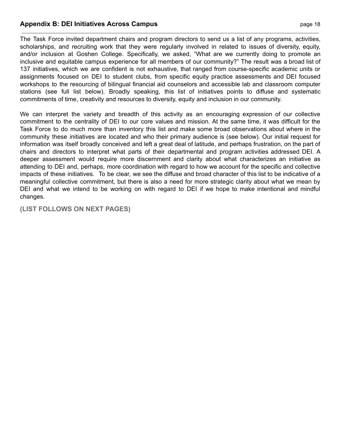#### **Appendix B: DEI Initiatives Across Campus page 18** page 18

The Task Force invited department chairs and program directors to send us a list of any programs, activities, scholarships, and recruiting work that they were regularly involved in related to issues of diversity, equity, and/or inclusion at Goshen College. Specifically, we asked, "What are we currently doing to promote an inclusive and equitable campus experience for all members of our community?" The result was a broad list of 137 initiatives, which we are confident is not exhaustive, that ranged from course-specific academic units or assignments focused on DEI to student clubs, from specific equity practice assessments and DEI focused workshops to the resourcing of bilingual financial aid counselors and accessible lab and classroom computer stations (see full list below). Broadly speaking, this list of initiatives points to diffuse and systematic commitments of time, creativity and resources to diversity, equity and inclusion in our community.

We can interpret the variety and breadth of this activity as an encouraging expression of our collective commitment to the centrality of DEI to our core values and mission. At the same time, it was difficult for the Task Force to do much more than inventory this list and make some broad observations about where in the community these initiatives are located and who their primary audience is (see below). Our initial request for information was itself broadly conceived and left a great deal of latitude, and perhaps frustration, on the part of chairs and directors to interpret what parts of their departmental and program activities addressed DEI. A deeper assessment would require more discernment and clarity about what characterizes an initiative as attending to DEI and, perhaps, more coordination with regard to how we account for the specific and collective impacts of these initiatives. To be clear, we see the diffuse and broad character of this list to be indicative of a meaningful collective commitment, but there is also a need for more strategic clarity about what we mean by DEI and what we intend to be working on with regard to DEI if we hope to make intentional and mindful changes.

**(LIST FOLLOWS ON NEXT PAGES)**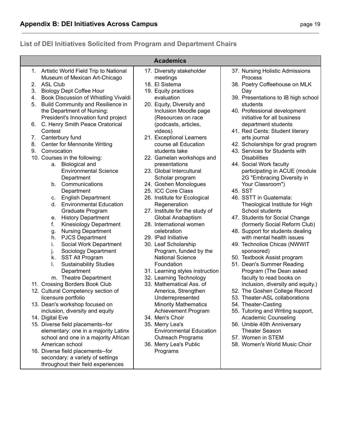## **List of DEI Initiatives Solicited from Program and Department Chairs**

|    | 1. Artistic World Field Trip to National          | 17. Diversity stakeholder                         | 37. Nursing Holistic Admissions                     |
|----|---------------------------------------------------|---------------------------------------------------|-----------------------------------------------------|
|    | Museum of Mexican Art-Chicago                     | meetings                                          | Process                                             |
| 2. | <b>ASL Club</b>                                   | 18. El Sistema                                    | 38. Poetry Coffeehouse on MLK                       |
| 3. | <b>Biology Dept Coffee Hour</b>                   | 19. Equity practices                              | Day                                                 |
| 4. | Book Discussion of Whistling Vivaldi              | evaluation                                        | 39. Presentations to IB high school                 |
| 5. | Build Community and Resilience in                 | 20. Equity, Diversity and                         | students                                            |
|    | the Department of Nursing:                        | Inclusion Moodle page                             | 40. Professional development                        |
|    | President's Innovation fund project               | (Resources on race                                | initiative for all business                         |
| 6. | C. Henry Smith Peace Oratorical                   | (podcasts, articles,                              | department students                                 |
|    | Contest                                           | videos)                                           | 41. Red Cents: Student literary                     |
| 7. | Canterbury fund                                   | 21. Exceptional Learners                          | arts journal                                        |
| 8. | <b>Center for Mennonite Writing</b>               | course all Education                              | 42. Scholarships for grad program                   |
| 9. | Convocation                                       | students take                                     | 43. Services for Students with                      |
|    | 10. Courses in the following:                     | 22. Gamelan workshops and                         | <b>Disabilities</b>                                 |
|    | <b>Biological and</b><br>а.                       | presentations                                     | 44. Social Work faculty                             |
|    | <b>Environmental Science</b>                      | 23. Global Intercultural                          | participating in ACUE (module                       |
|    | Department                                        | Scholar program                                   | 2G "Embracing Diversity in                          |
|    | $b_{-}$<br>Communications                         | 24. Goshen Monologues                             | Your Classroom")                                    |
|    | Department                                        | 25. ICC Core Class                                | 45. SST                                             |
|    | <b>English Department</b><br>C.                   | 26. Institute for Ecological                      | 46. SSTT in Guatemala:                              |
|    | <b>Environmental Education</b><br>d.              | Regeneration                                      | Theological Institute for High                      |
|    | Graduate Program                                  | 27. Institute for the study of                    | School students                                     |
|    | <b>History Department</b><br>е.                   | Global Anabaptism                                 | 47. Students for Social Change                      |
|    | f.<br><b>Kinesiology Department</b>               | 28. International women                           | (formerly Social Reform Club)                       |
|    | <b>Nursing Department</b><br>g.                   | celebration                                       | 48. Support for students dealing                    |
|    | <b>PJCS Department</b><br>h.                      | 29. IPad Initiative                               | with mental health issues                           |
|    | Social Work Department<br>i.                      | 30. Leaf Scholarship                              | 49. Technolios Chicas (NWWIT                        |
|    | j.<br>Sociology Department                        | Program, funded by the<br><b>National Science</b> | sponsored)                                          |
|    | k.<br><b>SST Alt Program</b>                      |                                                   | 50. Textbook Assist program                         |
|    | I.<br><b>Sustainability Studies</b><br>Department | Foundation<br>31. Learning styles instruction     | 51. Dean's Summer Reading                           |
|    | m. Theatre Department                             | 32. Learning Technology                           | Program (The Dean asked<br>faculty to read books on |
|    | 11. Crossing Borders Book Club                    | 33. Mathematical Ass. of                          | inclusion, diversity and equity.)                   |
|    | 12. Cultural Competency section of                | America, Strengthen                               | 52. The Goshen College Record                       |
|    | licensure portfolio                               | Underrepresented                                  | 53. Theater-ASL collaborations                      |
|    | 13. Dean's workshop focused on                    | <b>Minority Mathematics</b>                       | 54. Theater-Casting                                 |
|    | inclusion, diversity and equity                   | Achievement Program                               | 55. Tutoring and Writing support,                   |
|    | 14. Digital Eve                                   | 34. Men's Choir                                   | <b>Academic Counseling</b>                          |
|    | 15. Diverse field placements--for                 | 35. Merry Lea's                                   | 56. Umble 40th Anniversary                          |
|    | elementary: one in a majority Latinx              | <b>Environmental Education</b>                    | <b>Theater Season</b>                               |
|    | school and one in a majority African              | <b>Outreach Programs</b>                          | 57. Women in STEM                                   |
|    | American school                                   | 36. Merry Lea's Public                            | 58. Women's World Music Choir                       |
|    | 16. Diverse field placements--for                 | Programs                                          |                                                     |
|    | secondary: a variety of settings                  |                                                   |                                                     |
|    | throughout their field experiences                |                                                   |                                                     |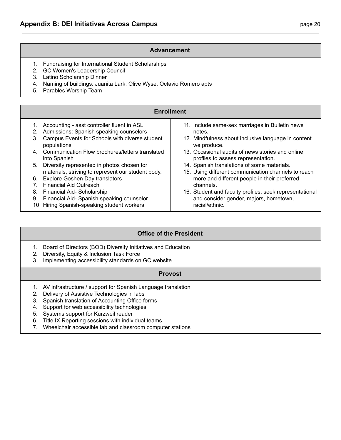#### **Advancement**

- 1. Fundraising for International Student Scholarships
- 2. GC Women's Leadership Council
- 3. Latino Scholarship Dinner
- 4. Naming of buildings: Juanita Lark, Olive Wyse, Octavio Romero apts
- 5. Parables Worship Team

|          | <b>Enrollment</b>                                                                                   |                                                                                                    |  |  |  |  |
|----------|-----------------------------------------------------------------------------------------------------|----------------------------------------------------------------------------------------------------|--|--|--|--|
| 2.       | 1. Accounting - asst controller fluent in ASL<br>Admissions: Spanish speaking counselors            | 11. Include same-sex marriages in Bulletin news<br>notes.                                          |  |  |  |  |
| 3.       | Campus Events for Schools with diverse student<br>populations                                       | 12. Mindfulness about inclusive language in content<br>we produce.                                 |  |  |  |  |
|          | 4. Communication Flow brochures/letters translated<br>into Spanish                                  | 13. Occasional audits of news stories and online<br>profiles to assess representation.             |  |  |  |  |
|          | 5. Diversity represented in photos chosen for<br>materials, striving to represent our student body. | 14. Spanish translations of some materials.<br>15. Using different communication channels to reach |  |  |  |  |
|          | 6. Explore Goshen Day translators<br><b>Financial Aid Outreach</b>                                  | more and different people in their preferred<br>channels.                                          |  |  |  |  |
| 8.<br>9. | Financial Aid- Scholarship<br>Financial Aid- Spanish speaking counselor                             | 16. Student and faculty profiles, seek representational<br>and consider gender, majors, hometown,  |  |  |  |  |
|          | 10. Hiring Spanish-speaking student workers                                                         | racial/ethnic.                                                                                     |  |  |  |  |

#### **Office of the President**

- 1. Board of Directors (BOD) Diversity Initiatives and Education
- 2. Diversity, Equity & Inclusion Task Force
- 3. Implementing accessibility standards on GC website

#### **Provost**

- 1. AV infrastructure / support for Spanish Language translation
- 2. Delivery of Assistive Technologies in labs
- 3. Spanish translation of Accounting Office forms
- 4. Support for web accessibility technologies
- 5. Systems support for Kurzweil reader
- 6. Title IX Reporting sessions with individual teams
- 7. Wheelchair accessible lab and classroom computer stations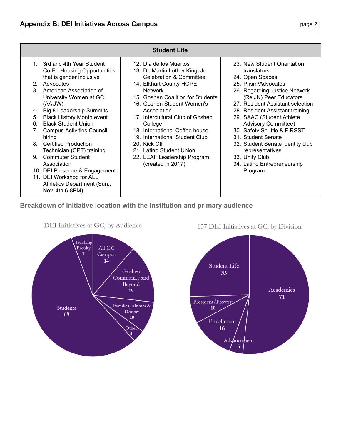|                      | <b>Student Life</b>                                                                                                                                                                                               |                                                                                                                                                                                   |                                                                                                                                                                                     |  |  |  |
|----------------------|-------------------------------------------------------------------------------------------------------------------------------------------------------------------------------------------------------------------|-----------------------------------------------------------------------------------------------------------------------------------------------------------------------------------|-------------------------------------------------------------------------------------------------------------------------------------------------------------------------------------|--|--|--|
| 2 <sub>1</sub><br>3. | 1. 3rd and 4th Year Student<br>Co-Ed Housing Opportunities<br>that is gender inclusive<br>Advocates<br>American Association of<br>University Women at GC                                                          | 12. Dia de los Muertos<br>13. Dr. Martin Luther King, Jr.<br><b>Celebration &amp; Committee</b><br>14. Elkhart County HOPE<br><b>Network</b><br>15. Goshen Coalition for Students | 23. New Student Orientation<br>translators<br>24. Open Spaces<br>25. Prism/Advocates<br>26. Regarding Justice Network<br>(Re: JN) Peer Educators                                    |  |  |  |
| 4.<br>5.<br>6.<br>7. | (AAUW)<br>Big 8 Leadership Summits<br><b>Black History Month event</b><br><b>Black Student Union</b><br><b>Campus Activities Council</b><br>hiring                                                                | 16. Goshen Student Women's<br>Association<br>17. Intercultural Club of Goshen<br>College<br>18. International Coffee house<br>19. International Student Club                      | 27. Resident Assistant selection<br>28. Resident Assistant training<br>29. SAAC (Student Athlete<br><b>Advisory Committee)</b><br>30. Safety Shuttle & FIRSST<br>31. Student Senate |  |  |  |
| 8<br>9               | <b>Certified Production</b><br>Technician (CPT) training<br><b>Commuter Student</b><br>Association<br>10. DEI Presence & Engagement<br>11. DEI Workshop for ALL<br>Athletics Department (Sun.,<br>Nov. 4th 6-8PM) | 20. Kick Off<br>21. Latino Student Union<br>22. LEAF Leadership Program<br>(created in 2017)                                                                                      | 32. Student Senate identity club<br>representatives<br>33. Unity Club<br>34. Latino Entrepreneurship<br>Program                                                                     |  |  |  |

## **Breakdown of initiative location with the institution and primary audience**



DEI Initiatives at GC, by Audience

137 DEI Initiatives at GC, by Division

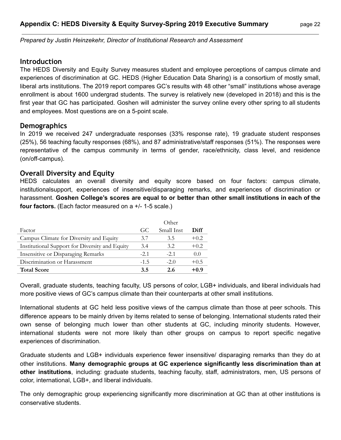*Prepared by Justin Heinzekehr, Director of Institutional Research and Assessment*

#### **Introduction**

The HEDS Diversity and Equity Survey measures student and employee perceptions of campus climate and experiences of discrimination at GC. HEDS (Higher Education Data Sharing) is a consortium of mostly small, liberal arts institutions. The 2019 report compares GC's results with 48 other "small" institutions whose average enrollment is about 1600 undergrad students. The survey is relatively new (developed in 2018) and this is the first year that GC has participated. Goshen will administer the survey online every other spring to all students and employees. Most questions are on a 5-point scale.

#### **Demographics**

In 2019 we received 247 undergraduate responses (33% response rate), 19 graduate student responses (25%), 56 teaching faculty responses (68%), and 87 administrative/staff responses (51%). The responses were representative of the campus community in terms of gender, race/ethnicity, class level, and residence (on/off-campus).

#### **Overall Diversity and Equity**

HEDS calculates an overall diversity and equity score based on four factors: campus climate, institutionalsupport, experiences of insensitive/disparaging remarks, and experiences of discrimination or harassment. **Goshen College's scores are equal to or better than other small institutions in each of the four factors.** (Each factor measured on a +/- 1-5 scale.)

|                                                | Other  |            |        |
|------------------------------------------------|--------|------------|--------|
| Factor                                         | GC     | Small Inst | Diff   |
| Campus Climate for Diversity and Equity        | 3.7    | 3.5        | $+0.2$ |
| Institutional Support for Diversity and Equity | 3.4    | 3.2        | $+0.2$ |
| Insensitive or Disparaging Remarks             | $-2.1$ | $-2.1$     | 0.0    |
| Discrimination or Harassment                   | $-1.5$ | $-2.0$     | $+0.5$ |
| <b>Total Score</b>                             | 3.5    | 2.6        | $+0.9$ |

Overall, graduate students, teaching faculty, US persons of color, LGB+ individuals, and liberal individuals had more positive views of GC's campus climate than their counterparts at other small institutions.

International students at GC held less positive views of the campus climate than those at peer schools. This difference appears to be mainly driven by items related to sense of belonging. International students rated their own sense of belonging much lower than other students at GC, including minority students. However, international students were not more likely than other groups on campus to report specific negative experiences of discrimination.

Graduate students and LGB+ individuals experience fewer insensitive/ disparaging remarks than they do at other institutions. **Many demographic groups at GC experience significantly less discrimination than at other institutions**, including: graduate students, teaching faculty, staff, administrators, men, US persons of color, international, LGB+, and liberal individuals.

The only demographic group experiencing significantly more discrimination at GC than at other institutions is conservative students.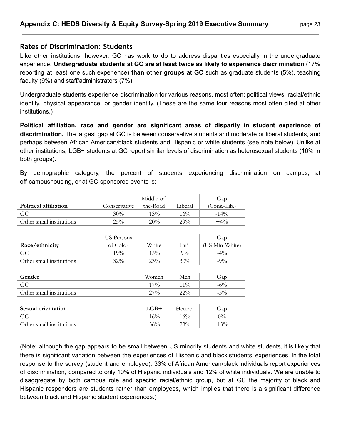#### **Rates of Discrimination: Students**

Like other institutions, however, GC has work to do to address disparities especially in the undergraduate experience. **Undergraduate students at GC are at least twice as likely to experience discrimination** (17% reporting at least one such experience) **than other groups at GC** such as graduate students (5%), teaching faculty (9%) and staff/administrators (7%).

Undergraduate students experience discrimination for various reasons, most often: political views, racial/ethnic identity, physical appearance, or gender identity. (These are the same four reasons most often cited at other institutions.)

**Political affiliation, race and gender are significant areas of disparity in student experience of discrimination.** The largest gap at GC is between conservative students and moderate or liberal students, and perhaps between African American/black students and Hispanic or white students (see note below). Unlike at other institutions, LGB+ students at GC report similar levels of discrimination as heterosexual students (16% in both groups).

By demographic category, the percent of students experiencing discrimination on campus, at off-campushousing, or at GC-sponsored events is:

|                          |              | Middle-of- |         | Gap            |
|--------------------------|--------------|------------|---------|----------------|
| Political affiliation    | Conservative | the-Road   | Liberal | (Cons.-Lib.)   |
| GC                       | 30%          | 13%        | $16\%$  | $-14\%$        |
| Other small institutions | 25%          | 20%        | 29%     | $+4\%$         |
|                          |              |            |         |                |
|                          | US Persons   |            |         | Gap            |
| Race/ethnicity           | of Color     | White      | Int'l   | (US Min-White) |
| GC                       | 19%          | 15%        | $9\%$   | $-4\%$         |
| Other small institutions | $32\%$       | 23%        | 30%     | $-9\%$         |
|                          |              |            |         |                |
| Gender                   |              | Women      | Men     | Gap            |
| GC                       |              | $17\%$     | $11\%$  | $-6\%$         |
| Other small institutions |              | 27%        | $22\%$  | $-5\%$         |
|                          |              |            |         |                |
| Sexual orientation       |              | $LGB+$     | Hetero. | Gap            |
| GC                       |              | 16%        | 16%     | $0\%$          |
| Other small institutions |              | 36%        | 23%     | $-13%$         |

(Note: although the gap appears to be small between US minority students and white students, it is likely that there is significant variation between the experiences of Hispanic and black students' experiences. In the total response to the survey (student and employee), 33% of African American/black individuals report experiences of discrimination, compared to only 10% of Hispanic individuals and 12% of white individuals. We are unable to disaggregate by both campus role and specific racial/ethnic group, but at GC the majority of black and Hispanic responders are students rather than employees, which implies that there is a significant difference between black and Hispanic student experiences.)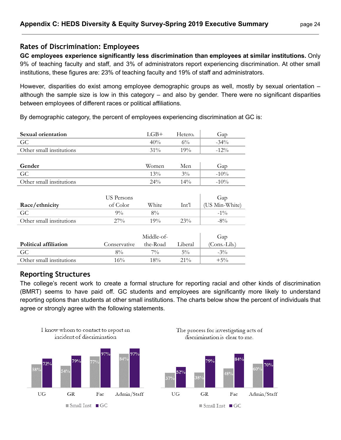#### **Rates of Discrimination: Employees**

**GC employees experience significantly less discrimination than employees at similar institutions.** Only 9% of teaching faculty and staff, and 3% of administrators report experiencing discrimination. At other small institutions, these figures are: 23% of teaching faculty and 19% of staff and administrators.

However, disparities do exist among employee demographic groups as well, mostly by sexual orientation – although the sample size is low in this category – and also by gender. There were no significant disparities between employees of different races or political affiliations.

By demographic category, the percent of employees experiencing discrimination at GC is:

| Sexual orientation       |              | $LGB+$     | Hetero. | Gap            |
|--------------------------|--------------|------------|---------|----------------|
| GC                       |              | 40%        | $6\%$   | $-34\%$        |
| Other small institutions |              | 31%        | 19%     | $-12%$         |
|                          |              |            |         |                |
| Gender                   |              | Women      | Men     | Gap            |
| GC                       |              | 13%        | $3\%$   | $-10\%$        |
| Other small institutions |              | $24\%$     | $14\%$  | $-10\%$        |
|                          |              |            |         |                |
|                          | US Persons   |            |         | Gap            |
| Race/ethnicity           | of Color     | White      | Int'l   | (US Min-White) |
| GC                       | $9\%$        | $8\%$      |         | $-1\%$         |
| Other small institutions | 27%          | 19%        | 23%     | $-8\%$         |
|                          |              |            |         |                |
|                          |              | Middle-of- |         | Gap            |
| Political affiliation    | Conservative | the-Road   | Liberal | (Cons.Lib.)    |
| GC                       | $8\%$        | $7\%$      | $5\%$   | $-3\%$         |
| Other small institutions | 16%          | 18%        | $21\%$  | $+5\%$         |
|                          |              |            |         |                |

#### **Reporting Structures**

The college's recent work to create a formal structure for reporting racial and other kinds of discrimination (BMRT) seems to have paid off. GC students and employees are significantly more likely to understand reporting options than students at other small institutions. The charts below show the percent of individuals that agree or strongly agree with the following statements.

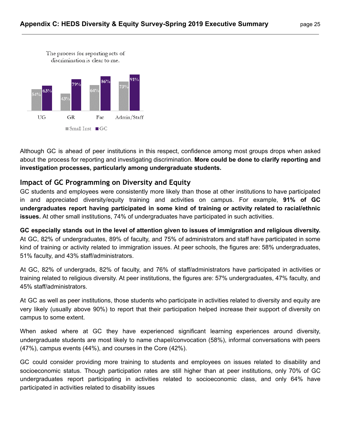discrimination is clear to me.



Although GC is ahead of peer institutions in this respect, confidence among most groups drops when asked about the process for reporting and investigating discrimination. **More could be done to clarify reporting and investigation processes, particularly among undergraduate students.**

## **Impact of GC Programming on Diversity and Equity**

GC students and employees were consistently more likely than those at other institutions to have participated in and appreciated diversity/equity training and activities on campus. For example, **91% of GC undergraduates report having participated in some kind of training or activity related to racial/ethnic issues.** At other small institutions, 74% of undergraduates have participated in such activities.

GC especially stands out in the level of attention given to issues of immigration and religious diversity. At GC, 82% of undergraduates, 89% of faculty, and 75% of administrators and staff have participated in some kind of training or activity related to immigration issues. At peer schools, the figures are: 58% undergraduates, 51% faculty, and 43% staff/administrators.

At GC, 82% of undergrads, 82% of faculty, and 76% of staff/administrators have participated in activities or training related to religious diversity. At peer institutions, the figures are: 57% undergraduates, 47% faculty, and 45% staff/administrators.

At GC as well as peer institutions, those students who participate in activities related to diversity and equity are very likely (usually above 90%) to report that their participation helped increase their support of diversity on campus to some extent.

When asked where at GC they have experienced significant learning experiences around diversity, undergraduate students are most likely to name chapel/convocation (58%), informal conversations with peers (47%), campus events (44%), and courses in the Core (42%).

GC could consider providing more training to students and employees on issues related to disability and socioeconomic status. Though participation rates are still higher than at peer institutions, only 70% of GC undergraduates report participating in activities related to socioeconomic class, and only 64% have participated in activities related to disability issues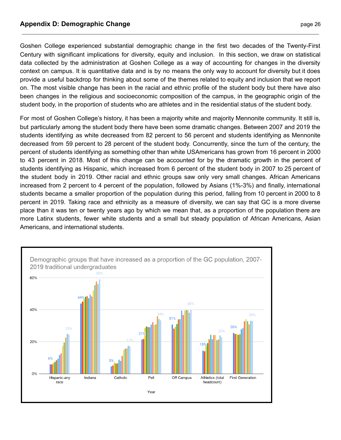#### **Appendix D: Demographic Change <b>by a contract of the Change** page 26

Goshen College experienced substantial demographic change in the first two decades of the Twenty-First Century with significant implications for diversity, equity and inclusion. In this section, we draw on statistical data collected by the administration at Goshen College as a way of accounting for changes in the diversity context on campus. It is quantitative data and is by no means the only way to account for diversity but it does provide a useful backdrop for thinking about some of the themes related to equity and inclusion that we report on. The most visible change has been in the racial and ethnic profile of the student body but there have also been changes in the religious and socioeconomic composition of the campus, in the geographic origin of the student body, in the proportion of students who are athletes and in the residential status of the student body.

For most of Goshen College's history, it has been a majority white and majority Mennonite community. It still is, but particularly among the student body there have been some dramatic changes. Between 2007 and 2019 the students identifying as white decreased from 82 percent to 56 percent and students identifying as Mennonite decreased from 59 percent to 28 percent of the student body. Concurrently, since the turn of the century, the percent of students identifying as something other than white USAmericans has grown from 16 percent in 2000 to 43 percent in 2018. Most of this change can be accounted for by the dramatic growth in the percent of students identifying as Hispanic, which increased from 6 percent of the student body in 2007 to 25 percent of the student body in 2019. Other racial and ethnic groups saw only very small changes. African Americans increased from 2 percent to 4 percent of the population, followed by Asians (1%-3%) and finally, international students became a smaller proportion of the population during this period, falling from 10 percent in 2000 to 8 percent in 2019. Taking race and ethnicity as a measure of diversity, we can say that GC is a more diverse place than it was ten or twenty years ago by which we mean that, as a proportion of the population there are more Latinx students, fewer white students and a small but steady population of African Americans, Asian Americans, and international students.

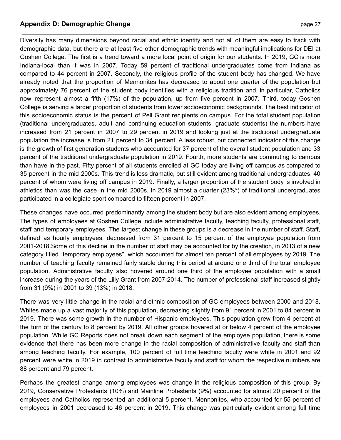#### **Appendix D: Demographic Change <b>by a contract of the Change** page 27

Diversity has many dimensions beyond racial and ethnic identity and not all of them are easy to track with demographic data, but there are at least five other demographic trends with meaningful implications for DEI at Goshen College. The first is a trend toward a more local point of origin for our students. In 2019, GC is more Indiana-local than it was in 2007. Today 59 percent of traditional undergraduates come from Indiana as compared to 44 percent in 2007. Secondly, the religious profile of the student body has changed. We have already noted that the proportion of Mennonites has decreased to about one quarter of the population but approximately 76 percent of the student body identifies with a religious tradition and, in particular, Catholics now represent almost a fifth (17%) of the population, up from five percent in 2007. Third, today Goshen College is serving a larger proportion of students from lower socioeconomic backgrounds. The best indicator of this socioeconomic status is the percent of Pell Grant recipients on campus. For the total student population (traditional undergraduates, adult and continuing education students, graduate students) the numbers have increased from 21 percent in 2007 to 29 percent in 2019 and looking just at the traditional undergraduate population the increase is from 21 percent to 34 percent. A less robust, but connected indicator of this change is the growth of first generation students who accounted for 37 percent of the overall student population and 33 percent of the traditional undergraduate population in 2019. Fourth, more students are commuting to campus than have in the past. Fifty percent of all students enrolled at GC today are living off campus as compared to 35 percent in the mid 2000s. This trend is less dramatic, but still evident among traditional undergraduates, 40 percent of whom were living off campus in 2019. Finally, a larger proportion of the student body is involved in athletics than was the case in the mid 2000s. In 2019 almost a quarter (23%\*) of traditional undergraduates participated in a collegiate sport compared to fifteen percent in 2007.

These changes have occurred predominantly among the student body but are also evident among employees. The types of employees at Goshen College include administrative faculty, teaching faculty, professional staff, staff and temporary employees. The largest change in these groups is a decrease in the number of staff. Staff, defined as hourly employees, decreased from 31 percent to 15 percent of the employee population from 2001-2018.Some of this decline in the number of staff may be accounted for by the creation, in 2013 of a new category titled "temporary employees", which accounted for almost ten percent of all employees by 2019. The number of teaching faculty remained fairly stable during this period at around one third of the total employee population. Administrative faculty also hovered around one third of the employee population with a small increase during the years of the Lilly Grant from 2007-2014. The number of professional staff increased slightly from 31 (9%) in 2001 to 39 (13%) in 2018.

There was very little change in the racial and ethnic composition of GC employees between 2000 and 2018. Whites made up a vast majority of this population, decreasing slightly from 91 percent in 2001 to 84 percent in 2019. There was some growth in the number of Hispanic employees. This population grew from 4 percent at the turn of the century to 8 percent by 2019. All other groups hovered at or below 4 percent of the employee population. While GC Reports does not break down each segment of the employee population, there is some evidence that there has been more change in the racial composition of administrative faculty and staff than among teaching faculty. For example, 100 percent of full time teaching faculty were white in 2001 and 92 percent were white in 2019 in contrast to administrative faculty and staff for whom the respective numbers are 88 percent and 79 percent.

Perhaps the greatest change among employees was change in the religious composition of this group. By 2019, Conservative Protestants (10%) and Mainline Protestants (9%) accounted for almost 20 percent of the employees and Catholics represented an additional 5 percent. Mennonites, who accounted for 55 percent of employees in 2001 decreased to 46 percent in 2019. This change was particularly evident among full time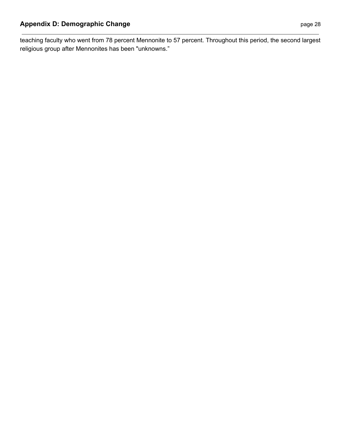teaching faculty who went from 78 percent Mennonite to 57 percent. Throughout this period, the second largest religious group after Mennonites has been "unknowns."